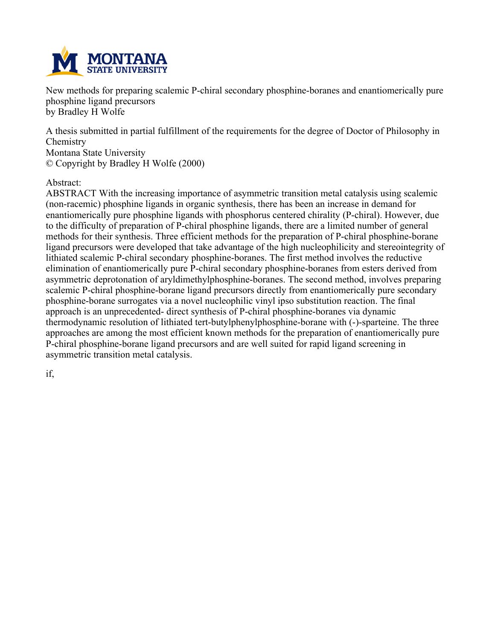

**New methods for preparing scalemic P-chiral secondary phosphine-boranes and enantiomerically pure phosphine ligand precursors by Bradley H Wolfe**

**A thesis submitted in partial fulfillment of the requirements for the degree of Doctor of Philosophy in Chemistry Montana State University © Copyright by Bradley H Wolfe (2000)**

#### **Abstract:**

**ABSTRACT With the increasing importance of asymmetric transition metal catalysis using scalemic (non-racemic) phosphine ligands in organic synthesis, there has been an increase in demand for enantiomerically pure phosphine ligands with phosphorus centered chirality (P-chiral). However, due to the difficulty of preparation of P-chiral phosphine ligands, there are a limited number of general methods for their synthesis. Three efficient methods for the preparation of P-chiral phosphine-borane ligand precursors were developed that take advantage of the high nucleophilicity and stereointegrity of lithiated scalemic P-chiral secondary phosphine-boranes. The first method involves the reductive elimination of enantiomerically pure P-chiral secondary phosphine-boranes from esters derived from asymmetric deprotonation of aryldimethylphosphine-boranes. The second method, involves preparing scalemic P-chiral phosphine-borane ligand precursors directly from enantiomerically pure secondary phosphine-borane surrogates via a novel nucleophilic vinyl ipso substitution reaction. The final approach is an unprecedented- direct synthesis of P-chiral phosphine-boranes via dynamic thermodynamic resolution of lithiated tert-butylphenylphosphine-borane with (-)-sparteine. The three approaches are among the most efficient known methods for the preparation of enantiomerically pure P-chiral phosphine-borane ligand precursors and are well suited for rapid ligand screening in asymmetric transition metal catalysis.**

**if,**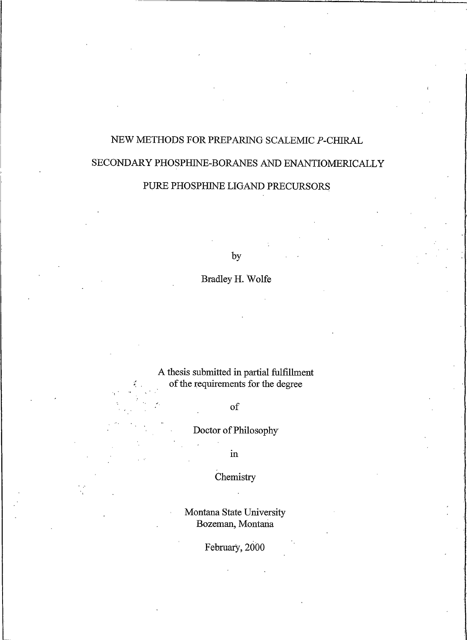# NEW METHODS FOR PREPARING SCALEMIC P-CHIRAL SECONDARY PHOSPHINE-BORANES AND ENANTIOMERICALLY

## PURE PHOSPHINE LIGAND PRECURSORS

by

Bradley H. Wolfe

A thesis submitted in partial fulfillment of the requirements for the degree

of

Doctor of Philosophy

 $\operatorname{in}$ 

Chemistry

Montana State University Bozeman, Montana

February, 2000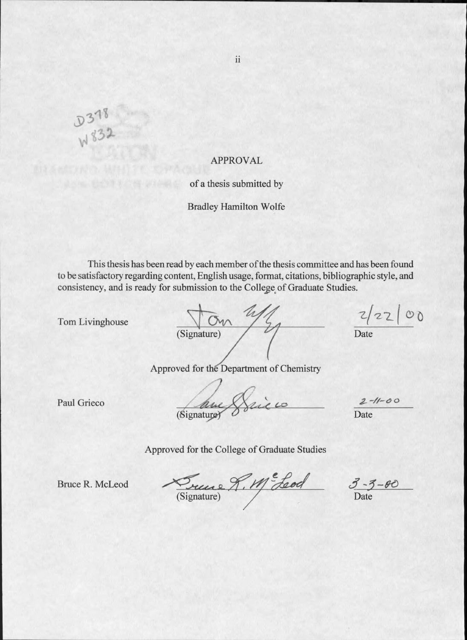**APPROVAL** 

of a thesis submitted by

**Bradley Hamilton Wolfe** 

This thesis has been read by each member of the thesis committee and has been found to be satisfactory regarding content, English usage, format, citations, bibliographic style, and consistency, and is ready for submission to the College of Graduate Studies.

Tom Livinghouse

D378

| (Signature) |  |  |
|-------------|--|--|
|             |  |  |

 $2/2200$ 

Date

Approved for the Department of Chemistry

Paul Grieco

Bignatures Sie

 $2 - 11 - 00$ Date

Approved for the College of Graduate Studies

**Bruce R. McLeod** 

Suive R. M. Leod

 $\frac{3-3-\theta}{2}$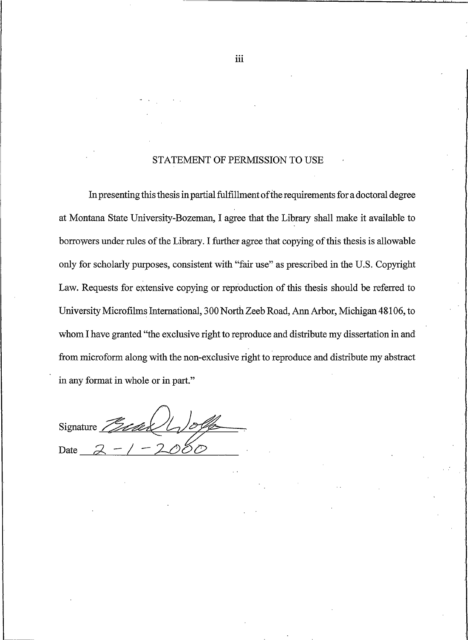#### STATEMENT OF PERMISSION TO USE

In presenting this thesis in partial fulfillment of the requirements for a doctoral degree at Montana State University-Bozeman, I agree that the Library shall make it available to borrowers under rules of the Library. I further agree that copying of this thesis is allowable only for scholarly purposes, consistent with "fair use" as prescribed in the U.S. Copyright Law. Requests for extensive copying or reproduction of this thesis should be referred to University Microfilms International, 300 North Zeeb Road, Ann Arbor, Michigan 48106, to whom I have granted "the exclusive right to reproduce and distribute my dissertation in and from microform along with the non-exclusive right to reproduce and distribute my abstract in any format in whole or in part."

Signature Date

iii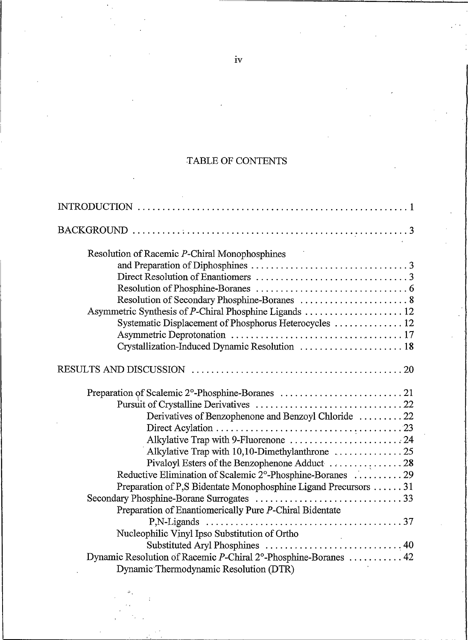## TABLE OF CONTENTS

| Resolution of Racemic P-Chiral Monophosphines                           |
|-------------------------------------------------------------------------|
|                                                                         |
|                                                                         |
|                                                                         |
|                                                                         |
|                                                                         |
| Systematic Displacement of Phosphorus Heterocycles  12                  |
|                                                                         |
| Crystallization-Induced Dynamic Resolution  18                          |
|                                                                         |
|                                                                         |
|                                                                         |
| Derivatives of Benzophenone and Benzoyl Chloride 22                     |
|                                                                         |
| Alkylative Trap with 9-Fluorenone 24                                    |
| Alkylative Trap with $10,10$ -Dimethylanthrone $\dots\dots\dots\dots25$ |
|                                                                         |
| Reductive Elimination of Scalemic 2°-Phosphine-Boranes  29              |
| Preparation of P,S Bidentate Monophosphine Ligand Precursors  31        |
|                                                                         |
| Preparation of Enantiomerically Pure P-Chiral Bidentate                 |
|                                                                         |
| Nucleophilic Vinyl Ipso Substitution of Ortho                           |
|                                                                         |
| Dynamic Resolution of Racemic P-Chiral 2°-Phosphine-Boranes  42         |
| Dynamic Thermodynamic Resolution (DTR)                                  |

 $iv$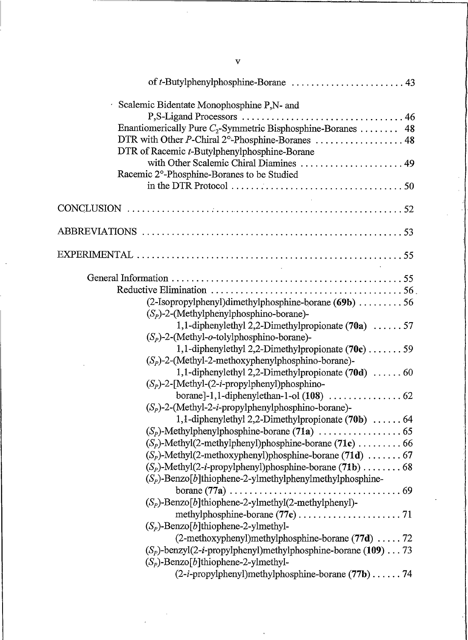| of $t$ -Butylphenylphosphine-Borane $\ldots \ldots \ldots \ldots \ldots \ldots$ 43                                                                                                                                                                                           |
|------------------------------------------------------------------------------------------------------------------------------------------------------------------------------------------------------------------------------------------------------------------------------|
| $\cdot$ Scalemic Bidentate Monophosphine P, N- and<br>Enantiomerically Pure $C_2$ -Symmetric Bisphosphine-Boranes  48<br>DTR with Other P-Chiral 2°-Phosphine-Boranes  48<br>DTR of Racemic <i>t</i> -Butylphenylphosphine-Borane<br>with Other Scalemic Chiral Diamines  49 |
| Racemic 2°-Phosphine-Boranes to be Studied<br>in the DTR Protocol $\ldots \ldots \ldots \ldots \ldots \ldots \ldots \ldots \ldots \ldots \ldots$                                                                                                                             |
| <b>Contractor</b>                                                                                                                                                                                                                                                            |
|                                                                                                                                                                                                                                                                              |
| and the state of the state of                                                                                                                                                                                                                                                |
| (2-Isopropylphenyl)dimethylphosphine-borane (69b) 56<br>$(S_p)$ -2-(Methylphenylphosphino-borane)-                                                                                                                                                                           |
| 1,1-diphenylethyl 2,2-Dimethylpropionate $(70a)$ 57<br>$(S_p)$ -2-(Methyl- <i>o</i> -tolylphosphino-borane)-<br>1,1-diphenylethyl 2,2-Dimethylpropionate $(70c)$ 59                                                                                                          |
| $(S_p)$ -2-(Methyl-2-methoxyphenylphosphino-borane)-<br>1,1-diphenylethyl 2,2-Dimethylpropionate $(70d)$ 60<br>$(S_p)$ -2-[Methyl-(2- <i>i</i> -propylphenyl)phosphino-                                                                                                      |
| $(S_p)$ -2-(Methyl-2- <i>i</i> -propylphenylphosphino-borane)-<br>1,1-diphenylethyl 2,2-Dimethylpropionate $(70b)$ 64                                                                                                                                                        |
| $(S_p)$ -Methyl $(2$ -methylphenyl)phosphine-borane (71c)  66<br>$(S_p)$ -Methyl(2-methoxyphenyl)phosphine-borane (71d)  67                                                                                                                                                  |
| $(S_p)$ -Benzo[b]thiophene-2-ylmethylphenylmethylphosphine-<br>borane $(77a) \ldots$ .                                                                                                                                                                                       |
| $(S_p)$ -Benzo[b]thiophene-2-ylmethyl(2-methylphenyl)-<br>$(S_p)$ -Benzo[b]thiophene-2-ylmethyl-                                                                                                                                                                             |
| (2-methoxyphenyl)methylphosphine-borane (77d)  72<br>$(S_p)$ -benzyl $(2-i$ -propylphenyl)methylphosphine-borane (109) 73<br>$(S_p)$ -Benzo[b]thiophene-2-ylmethyl-<br>$(2-i$ -propylphenyl)methylphosphine-borane $(77b)$ 74                                                |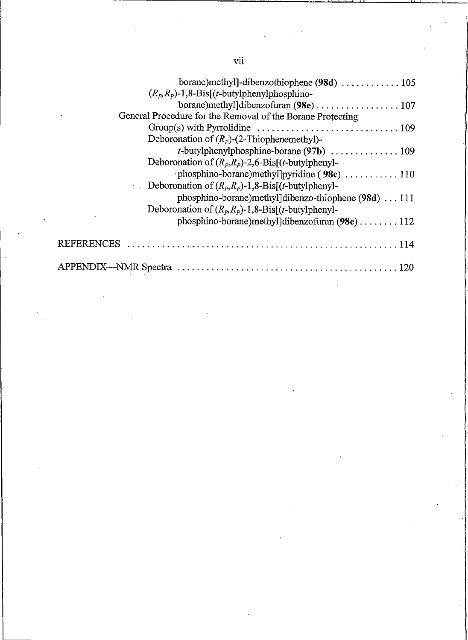| $(R_p, R_p)$ -1,8-Bis[(t-butylphenylphosphino-                                                   |
|--------------------------------------------------------------------------------------------------|
| borane)methyl]dibenzofuran (98e)  107                                                            |
| General Procedure for the Removal of the Borane Protecting                                       |
| $Group(s)$ with Pyrrolidine $\ldots \ldots \ldots \ldots \ldots \ldots \ldots \ldots \ldots 109$ |
| Deboronation of $(R_p)$ -(2-Thiophenemethyl)-                                                    |
|                                                                                                  |
| Deboronation of $(R_p, R_p)$ -2,6-Bis[(t-butylphenyl-                                            |
|                                                                                                  |
| Deboronation of $(R_p, R_p)$ -1,8-Bis[( <i>t</i> -butylphenyl-                                   |
| phosphino-borane)methyl]dibenzo-thiophene (98d)  111                                             |
| Deboronation of $(R_p, R_p)$ -1,8-Bis[( <i>t</i> -butylphenyl-                                   |
| phosphino-borane) methyl dibenzofuran $(98e)$ 112                                                |
| <b>REFERENCES</b>                                                                                |
|                                                                                                  |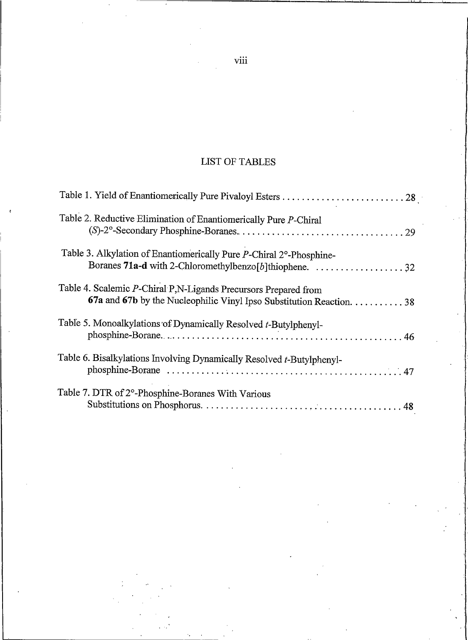## LIST OF TABLES

| Table 2. Reductive Elimination of Enantiomerically Pure P-Chiral                                                                                                     |  |
|----------------------------------------------------------------------------------------------------------------------------------------------------------------------|--|
| Table 3. Alkylation of Enantiomerically Pure P-Chiral 2°-Phosphine-<br>Boranes 71a-d with 2-Chloromethylbenzo [b] thiophene. $\ldots \ldots \ldots \ldots \ldots$ 32 |  |
| Table 4. Scalemic P-Chiral P,N-Ligands Precursors Prepared from<br>67a and 67b by the Nucleophilic Vinyl Ipso Substitution Reaction. 38                              |  |
| Table 5. Monoalkylations of Dynamically Resolved t-Butylphenyl-                                                                                                      |  |
| Table 6. Bisalkylations Involving Dynamically Resolved t-Butylphenyl-                                                                                                |  |
| Table 7. DTR of 2°-Phosphine-Boranes With Various                                                                                                                    |  |

viii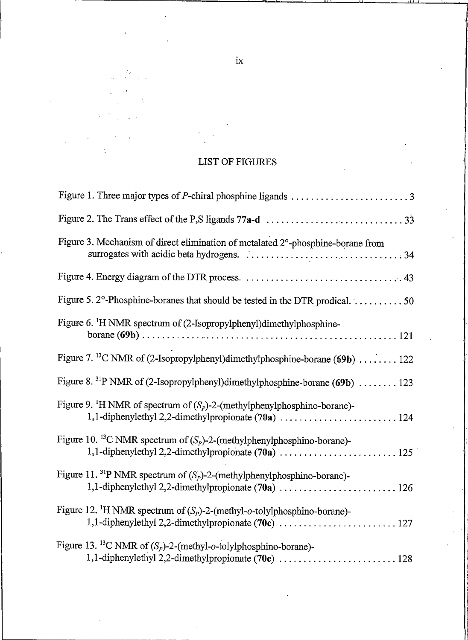## LIST OF FIGURES

| Figure 3. Mechanism of direct elimination of metalated 2°-phosphine-borane from                 |
|-------------------------------------------------------------------------------------------------|
|                                                                                                 |
| Figure 5. 2°-Phosphine-boranes that should be tested in the DTR prodical. 50                    |
| Figure 6. <sup>1</sup> H NMR spectrum of (2-Isopropylphenyl)dimethylphosphine-                  |
| Figure 7. <sup>13</sup> C NMR of (2-Isopropylphenyl)dimethylphosphine-borane (69b)  122         |
| Figure 8. <sup>31</sup> P NMR of (2-Isopropylphenyl)dimethylphosphine-borane (69b)  123         |
| Figure 9. <sup>1</sup> H NMR of spectrum of $(S_p)$ -2-(methylphenylphosphino-borane)-          |
| Figure 10. <sup>13</sup> C NMR spectrum of $(S_p)$ -2-(methylphenylphosphino-borane)-           |
| Figure 11. <sup>31</sup> P NMR spectrum of $(S_p)$ -2-(methylphenylphosphino-borane)-           |
| Figure 12. <sup>1</sup> H NMR spectrum of $(S_p)$ -2-(methyl- <i>o</i> -tolylphosphino-borane)- |
| Figure 13. <sup>13</sup> C NMR of $(S_p)$ -2-(methyl-o-tolylphosphino-borane)-                  |

 $i\mathrm{x}$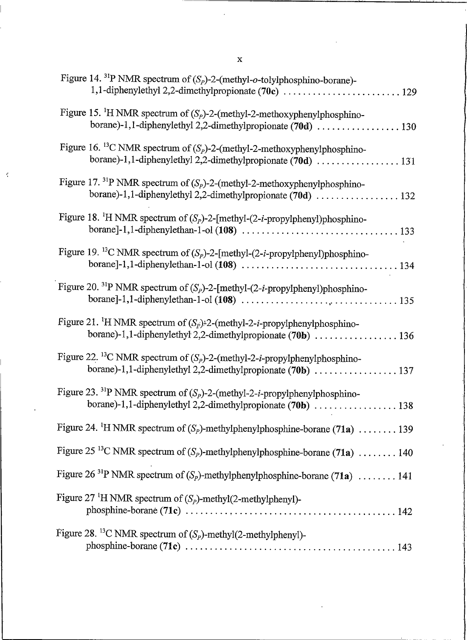| Figure 14. <sup>31</sup> P NMR spectrum of $(S_p)$ -2-(methyl-o-tolylphosphino-borane)-<br>1,1-diphenylethyl 2,2-dimethylpropionate (70c)  129 |
|------------------------------------------------------------------------------------------------------------------------------------------------|
| Figure 15. <sup>1</sup> H NMR spectrum of $(S_p)$ -2-(methyl-2-methoxyphenylphosphino-                                                         |
| Figure 16. <sup>13</sup> C NMR spectrum of $(S_P)$ -2-(methyl-2-methoxyphenylphosphino-                                                        |
| Figure 17. <sup>31</sup> P NMR spectrum of $(S_p)$ -2-(methyl-2-methoxyphenylphosphino-                                                        |
| Figure 18. <sup>1</sup> H NMR spectrum of $(S_p)$ -2-[methyl- $(2-i$ -propylphenyl)phosphino-                                                  |
| Figure 19. <sup>13</sup> C NMR spectrum of $(S_P)$ -2-[methyl- $(2-i$ -propylphenyl)phosphino-                                                 |
| Figure 20. <sup>31</sup> P NMR spectrum of $(S_P)$ -2-[methyl- $(2-i$ -propylphenyl)phosphino-                                                 |
| Figure 21. <sup>1</sup> H NMR spectrum of $(S_p)$ -2-(methyl-2- <i>i</i> -propylphenylphosphino-                                               |
| Figure 22. <sup>13</sup> C NMR spectrum of $(S_p)$ -2-(methyl-2- <i>i</i> -propylphenylphosphino-                                              |
| Figure 23. <sup>31</sup> P NMR spectrum of $(S_p)$ -2-(methyl-2- <i>i</i> -propylphenylphosphino-                                              |
| Figure 24. <sup>1</sup> H NMR spectrum of $(S_p)$ -methylphenylphosphine-borane (71a)  139                                                     |
| Figure 25 <sup>13</sup> C NMR spectrum of $(S_p)$ -methylphenylphosphine-borane (71a)  140                                                     |
| Figure 26 <sup>31</sup> P NMR spectrum of $(S_p)$ -methylphenylphosphine-borane (71a) 141                                                      |
| Figure 27 <sup>1</sup> H NMR spectrum of $(S_p)$ -methyl $(2$ -methylphenyl)-                                                                  |
| Figure 28. <sup>13</sup> C NMR spectrum of $(S_p)$ -methyl $(2$ -methylphenyl)-                                                                |

 $\mathbf{x}$ 

 $\dot{\gamma}$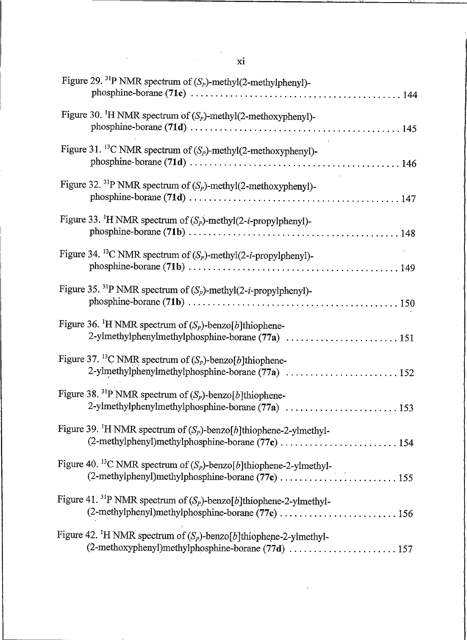| Figure 29. <sup>31</sup> P NMR spectrum of $(S_p)$ -methyl $(2$ -methylphenyl)-   |
|-----------------------------------------------------------------------------------|
| Figure 30. <sup>1</sup> H NMR spectrum of $(S_P)$ -methyl(2-methoxyphenyl)-       |
| Figure 31. <sup>13</sup> C NMR spectrum of $(S_p)$ -methyl(2-methoxyphenyl)-      |
| Figure 32. <sup>31</sup> P NMR spectrum of $(S_p)$ -methyl(2-methoxyphenyl)-      |
| Figure 33. <sup>1</sup> H NMR spectrum of $(S_p)$ -methyl $(2-i$ -propylphenyl)-  |
| Figure 34. <sup>13</sup> C NMR spectrum of $(S_p)$ -methyl $(2-i$ -propylphenyl)- |
| Figure 35. <sup>31</sup> P NMR spectrum of $(S_p)$ -methyl $(2-i$ -propylphenyl)- |
| Figure 36. <sup>1</sup> H NMR spectrum of $(S_p)$ -benzo[b]thiophene-             |
| Figure 37. <sup>13</sup> C NMR spectrum of $(S_p)$ -benzo[b]thiophene-            |
| Figure 38. <sup>31</sup> P NMR spectrum of $(S_p)$ -benzo[b]thiophene-            |
| Figure 39. <sup>1</sup> H NMR spectrum of $(S_p)$ -benzo[b]thiophene-2-ylmethyl-  |
| Figure 40. <sup>13</sup> C NMR spectrum of $(S_p)$ -benzo[b]thiophene-2-ylmethyl- |
| Figure 41. <sup>31</sup> P NMR spectrum of $(S_p)$ -benzo[b]thiophene-2-ylmethyl- |
| Figure 42. <sup>1</sup> H NMR spectrum of $(S_p)$ -benzo[b]thiophene-2-ylmethyl-  |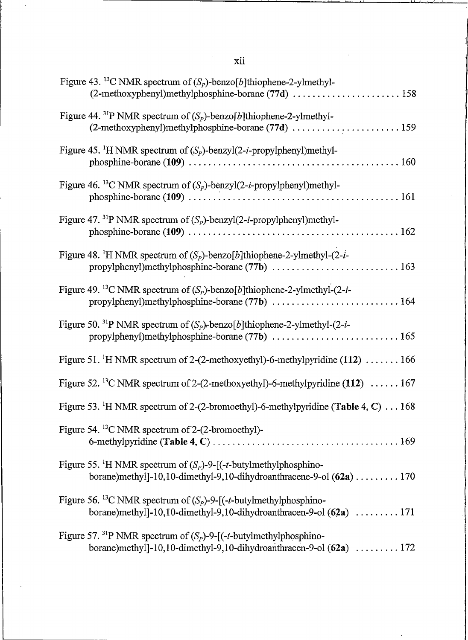| Figure 43. <sup>13</sup> C NMR spectrum of $(S_p)$ -benzo[b]thiophene-2-ylmethyl-<br>(2-methoxyphenyl)methylphosphine-borane (77d)  158                           |
|-------------------------------------------------------------------------------------------------------------------------------------------------------------------|
| Figure 44. <sup>31</sup> P NMR spectrum of $(S_p)$ -benzo[b]thiophene-2-ylmethyl-<br>(2-methoxyphenyl)methylphosphine-borane $(77d)$ 159                          |
| Figure 45. <sup>1</sup> H NMR spectrum of $(S_p)$ -benzyl $(2-i$ -propylphenyl)methyl-                                                                            |
| Figure 46. <sup>13</sup> C NMR spectrum of $(S_p)$ -benzyl $(2-i$ -propylphenyl)methyl-                                                                           |
| Figure 47. <sup>31</sup> P NMR spectrum of $(S_p)$ -benzyl $(2-i$ -propylphenyl)methyl-                                                                           |
| Figure 48. <sup>1</sup> H NMR spectrum of $(S_p)$ -benzo[b]thiophene-2-ylmethyl- $(2-i$ -                                                                         |
| Figure 49. <sup>13</sup> C NMR spectrum of $(S_p)$ -benzo[b]thiophene-2-ylmethyl- $(2-i$ -<br>propylphenyl)methylphosphine-borane (77b)  164                      |
| Figure 50. <sup>31</sup> P NMR spectrum of $(S_p)$ -benzo[b]thiophene-2-ylmethyl- $(2-i$ -                                                                        |
| Figure 51. <sup>1</sup> H NMR spectrum of 2-(2-methoxyethyl)-6-methylpyridine $(112)$ 166                                                                         |
| Figure 52. <sup>13</sup> C NMR spectrum of 2-(2-methoxyethyl)-6-methylpyridine (112) $\dots$ . 167                                                                |
| Figure 53. <sup>1</sup> H NMR spectrum of 2-(2-bromoethyl)-6-methylpyridine (Table 4, C) 168                                                                      |
| Figure 54. <sup>13</sup> C NMR spectrum of 2-(2-bromoethyl)-                                                                                                      |
| Figure 55. <sup>1</sup> H NMR spectrum of $(S_p)$ -9-[(-t-butylmethylphosphino-<br>borane)methyl]-10,10-dimethyl-9,10-dihydroanthracene-9-ol (62a)  170           |
| Figure 56. <sup>13</sup> C NMR spectrum of $(S_p)$ -9-[(- <i>t</i> -butylmethylphosphino-<br>borane)methyl]-10,10-dimethyl-9,10-dihydroanthracen-9-ol $(62a)$ 171 |
| Figure 57. <sup>31</sup> P NMR spectrum of $(S_p)$ -9-[(- <i>t</i> -butylmethylphosphino-<br>borane)methyl]-10,10-dimethyl-9,10-dihydroanthracen-9-ol $(62a)$ 172 |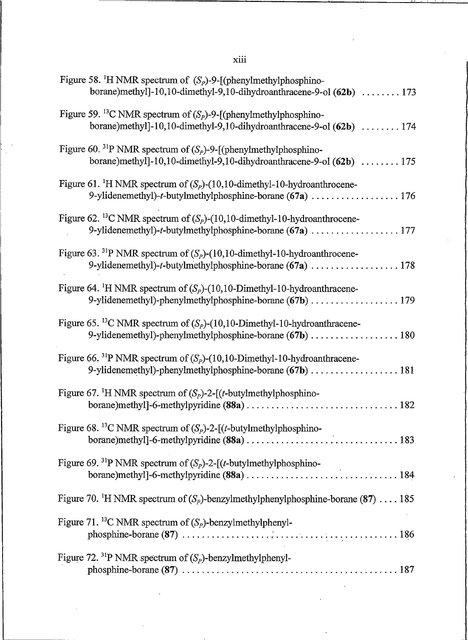xiii

 $\ddot{\phantom{a}}$  $\overline{a}$ 

| Figure 58. <sup>1</sup> H NMR spectrum of $(S_p)$ -9-[(phenylmethylphosphino-<br>borane)methyl]-10,10-dimethyl-9,10-dihydroanthracene-9-ol $(62b)$ 173  |
|---------------------------------------------------------------------------------------------------------------------------------------------------------|
| Figure 59. <sup>13</sup> C NMR spectrum of $(S_p)$ -9-[(phenylmethylphosphino-<br>borane)methyl]-10,10-dimethyl-9,10-dihydroanthracene-9-ol $(62b)$ 174 |
| Figure 60. <sup>31</sup> P NMR spectrum of $(S_p)$ -9-[(phenylmethylphosphino-<br>borane)methyl]-10,10-dimethyl-9,10-dihydroanthracene-9-ol $(62b)$ 175 |
| Figure 61. <sup>1</sup> H NMR spectrum of $(S_p)$ -(10,10-dimethyl-10-hydroanthrocene-<br>9-ylidenemethyl)-t-butylmethylphosphine-borane (67a)  176     |
| Figure 62. <sup>13</sup> C NMR spectrum of $(S_p)$ -(10,10-dimethyl-10-hydroanthrocene-                                                                 |
| Figure 63. <sup>31</sup> P NMR spectrum of $(S_p)$ -(10,10-dimethyl-10-hydroanthrocene-                                                                 |
| Figure 64. <sup>1</sup> H NMR spectrum of $(S_p)$ -(10,10-Dimethyl-10-hydroanthracene-<br>9-ylidenemethyl)-phenylmethylphosphine-borane (67b)  179      |
| Figure 65. <sup>13</sup> C NMR spectrum of $(S_p)$ -(10,10-Dimethyl-10-hydroanthracene-                                                                 |
| Figure 66. <sup>31</sup> P NMR spectrum of $(S_p)$ -(10,10-Dimethyl-10-hydroanthracene-                                                                 |
| Figure 67. <sup>1</sup> H NMR spectrum of $(S_p)$ -2-[( <i>t</i> -butylmethylphosphino-                                                                 |
| Figure 68. <sup>13</sup> C NMR spectrum of $(S_p)$ -2- $\left[$ ( <i>t</i> -butylmethylphosphino-                                                       |
| Figure 69. <sup>31</sup> P NMR spectrum of $(S_p)$ -2-[( <i>t</i> -butylmethylphosphino-                                                                |
| Figure 70. <sup>1</sup> H NMR spectrum of $(S_p)$ -benzylmethylphenylphosphine-borane (87)  185                                                         |
| Figure 71. <sup>13</sup> C NMR spectrum of $(S_p)$ -benzylmethylphenyl-                                                                                 |
| Figure 72. <sup>31</sup> P NMR spectrum of $(S_p)$ -benzylmethylphenyl-                                                                                 |
|                                                                                                                                                         |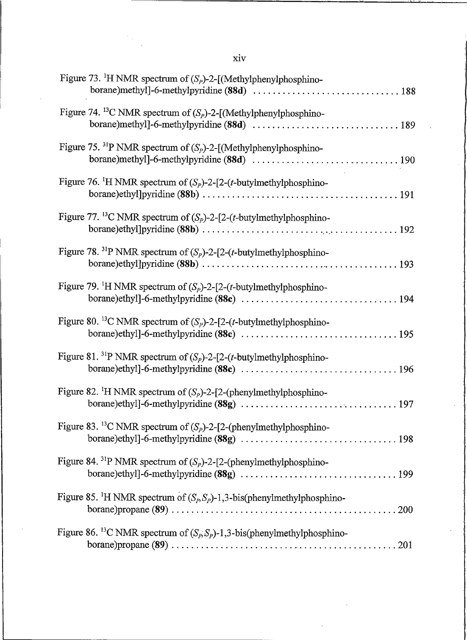| ___<br>_ |
|----------|

 $\hat{\boldsymbol{\epsilon}}$ 

 $\mathcal{P}_{\mathcal{A}}$ 

 $\hat{\boldsymbol{\theta}}$ 

| Figure 73. <sup>1</sup> H NMR spectrum of $(S_P)$ -2-[(Methylphenylphosphino-              |
|--------------------------------------------------------------------------------------------|
| Figure 74. <sup>13</sup> C NMR spectrum of $(S_p)$ -2-[(Methylphenylphosphino-             |
| Figure 75. <sup>31</sup> P NMR spectrum of $(S_p)$ -2-[(Methylphenylphosphino-             |
| Figure 76. <sup>1</sup> H NMR spectrum of $(S_p)$ -2-[2- $(t$ -butylmethylphosphino-       |
| Figure 77. <sup>13</sup> C NMR spectrum of $(S_p)$ -2-[2-( <i>t</i> -butylmethylphosphino- |
| Figure 78. <sup>31</sup> P NMR spectrum of $(S_p)$ -2-[2-( <i>t</i> -butylmethylphosphino- |
| Figure 79. <sup>1</sup> H NMR spectrum of $(S_p)$ -2-[2-( <i>t</i> -butylmethylphosphino-  |
| Figure 80. <sup>13</sup> C NMR spectrum of $(S_p)$ -2-[2-( <i>t</i> -butylmethylphosphino- |
| Figure 81. <sup>31</sup> P NMR spectrum of $(S_p)$ -2-[2-( <i>t</i> -butylmethylphosphino- |
| Figure 82. <sup>1</sup> H NMR spectrum of $(S_p)$ -2-[2-(phenylmethylphosphino-            |
| Figure 83. <sup>13</sup> C NMR spectrum of $(S_p)$ -2-[2-(phenylmethylphosphino-           |
| Figure 84. <sup>31</sup> P NMR spectrum of $(S_p)$ -2-[2-(phenylmethylphosphino-           |
| Figure 85. <sup>1</sup> H NMR spectrum of $(S_p, S_p)$ -1,3-bis(phenylmethylphosphino-     |
| Figure 86. <sup>13</sup> C NMR spectrum of $(S_p, S_p)$ -1,3-bis(phenylmethylphosphino-    |

 $\bar{z}$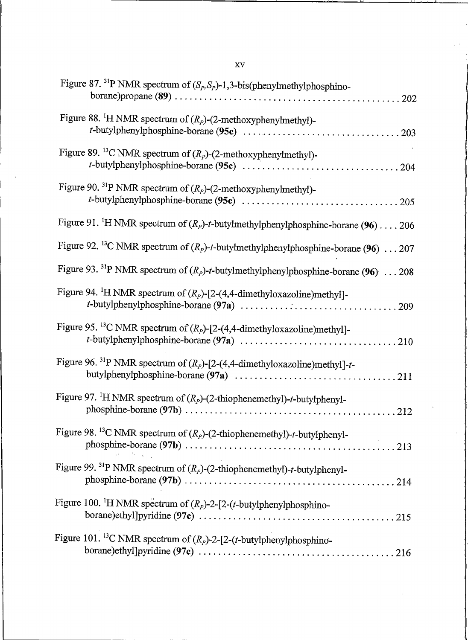| Figure 87. <sup>31</sup> P NMR spectrum of $(S_p, S_p)$ -1,3-bis(phenylmethylphosphino-           |
|---------------------------------------------------------------------------------------------------|
| Figure 88. <sup>1</sup> H NMR spectrum of $(R_p)$ -(2-methoxyphenylmethyl)-                       |
| Figure 89. <sup>13</sup> C NMR spectrum of $(R_p)$ -(2-methoxyphenylmethyl)-                      |
| Figure 90. <sup>31</sup> P NMR spectrum of $(R_p)$ -(2-methoxyphenylmethyl)-                      |
| Figure 91. <sup>1</sup> H NMR spectrum of $(R_p)$ -t-butylmethylphenylphosphine-borane (96) 206   |
| Figure 92. <sup>13</sup> C NMR spectrum of $(R_p)$ -t-butylmethylphenylphosphine-borane (96)  207 |
| Figure 93. <sup>31</sup> P NMR spectrum of $(R_p)$ -t-butylmethylphenylphosphine-borane (96)  208 |
| Figure 94. <sup>1</sup> H NMR spectrum of $(R_p)$ -[2-(4,4-dimethyloxazoline)methyl]-             |
| Figure 95. <sup>13</sup> C NMR spectrum of $(R_p)$ -[2-(4,4-dimethyloxazoline)methyl]-            |
| Figure 96. <sup>31</sup> P NMR spectrum of $(R_p)$ -[2-(4,4-dimethyloxazoline)methyl]-t-          |
| Figure 97. <sup>1</sup> H NMR spectrum of $(R_p)$ -(2-thiophenemethyl)-t-butylphenyl-             |
| Figure 98. <sup>13</sup> C NMR spectrum of $(R_p)$ -(2-thiophenemethyl)-t-butylphenyl-            |
| Figure 99. <sup>31</sup> P NMR spectrum of $(R_p)$ -(2-thiophenemethyl)-t-butylphenyl-            |
| Figure 100. <sup>1</sup> H NMR spectrum of $(R_p)$ -2-[2-( <i>t</i> -butylphenylphosphino-        |
| Figure 101. <sup>13</sup> C NMR spectrum of $(R_p)$ -2-[2-( <i>t</i> -butylphenylphosphino-       |

 $\mathbf{X}\mathbf{V}$ 

 $\mathbf{r}^{(1)}$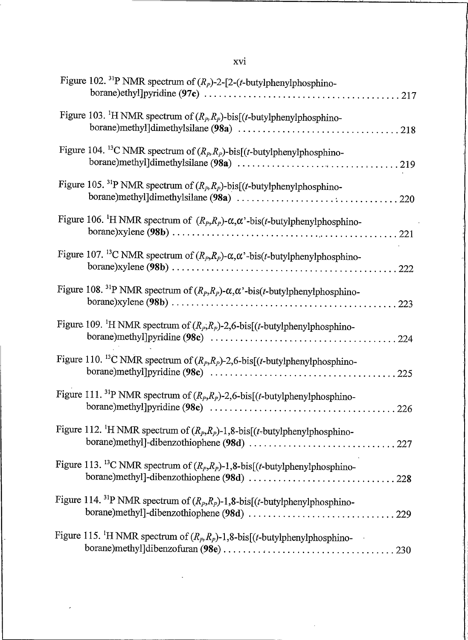| Figure 102. <sup>31</sup> P NMR spectrum of $(R_p)$ -2-[2-( <i>t</i> -butylphenylphosphino-                                    |
|--------------------------------------------------------------------------------------------------------------------------------|
| Figure 103. <sup>1</sup> H NMR spectrum of $(R_p, R_p)$ -bis[( <i>t</i> -butylphenylphosphino-                                 |
| Figure 104. <sup>13</sup> C NMR spectrum of $(R_p, R_p)$ -bis[(t-butylphenylphosphino-                                         |
| Figure 105. <sup>31</sup> P NMR spectrum of $(R_p, R_p)$ -bis[( <i>t</i> -butylphenylphosphino-                                |
| Figure 106. <sup>1</sup> H NMR spectrum of $(R_p, R_p)$ - $\alpha, \alpha$ <sup>2</sup> -bis( <i>t</i> -butylphenylphosphino-  |
| Figure 107. <sup>13</sup> C NMR spectrum of $(R_p, R_p)$ - $\alpha, \alpha$ <sup>2</sup> -bis( <i>t</i> -butylphenylphosphino- |
| Figure 108. <sup>31</sup> P NMR spectrum of $(R_p, R_p)$ - $\alpha, \alpha$ '-bis(t-butylphenylphosphino-<br>223               |
| Figure 109. <sup>1</sup> H NMR spectrum of $(R_p, R_p)$ -2,6-bis[(t-butylphenylphosphino-                                      |
| Figure 110. <sup>13</sup> C NMR spectrum of $(R_p, R_p)$ -2,6-bis[( <i>t</i> -butylphenylphosphino-                            |
| Figure 111. <sup>31</sup> P NMR spectrum of $(R_p, R_p)$ -2,6-bis[( <i>t</i> -butylphenylphosphino-                            |
| Figure 112. <sup>1</sup> H NMR spectrum of $(R_p, R_p)$ -1,8-bis[(t-butylphenylphosphino-                                      |
| Figure 113. <sup>13</sup> C NMR spectrum of $(R_p, R_p)$ -1,8-bis[( <i>t</i> -butylphenylphosphino-                            |
| Figure 114. <sup>31</sup> P NMR spectrum of $(R_p, R_p)$ -1,8-bis[(t-butylphenylphosphino-                                     |
| Figure 115. <sup>1</sup> H NMR spectrum of $(R_p, R_p)$ -1,8-bis[( <i>t</i> -butylphenylphosphino-                             |

 $\bar{z}$ 

J.

xvi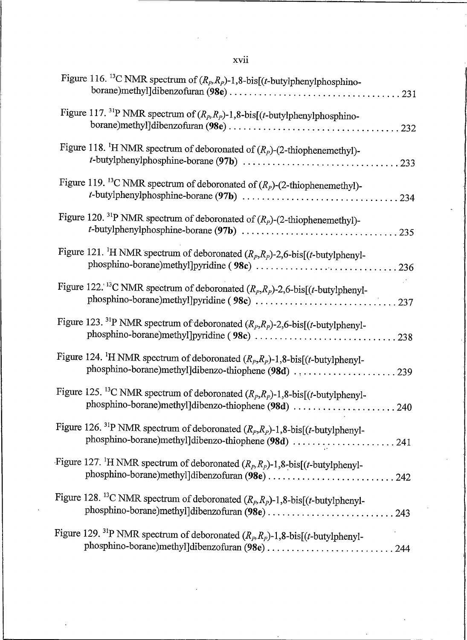| Figure 116. <sup>13</sup> C NMR spectrum of $(R_p, R_p)$ -1,8-bis[( <i>t</i> -butylphenylphosphino-                                                           |
|---------------------------------------------------------------------------------------------------------------------------------------------------------------|
| Figure 117. <sup>31</sup> P NMR spectrum of $(R_p, R_p)$ -1,8-bis[( <i>t</i> -butylphenylphosphino-                                                           |
| Figure 118. <sup>1</sup> H NMR spectrum of deboronated of $(R_p)$ -(2-thiophenemethyl)-                                                                       |
| Figure 119. <sup>13</sup> C NMR spectrum of deboronated of $(R_p)$ -(2-thiophenemethyl)-                                                                      |
| Figure 120. <sup>31</sup> P NMR spectrum of deboronated of $(R_p)$ -(2-thiophenemethyl)-                                                                      |
| Figure 121. <sup>1</sup> H NMR spectrum of deboronated $(R_p, R_p)$ -2,6-bis[(t-butylphenyl-<br>phosphino-borane)methyl]pyridine (98c) 236                    |
| Figure 122. <sup>13</sup> C NMR spectrum of deboronated $(R_p, R_p)$ -2,6-bis[(t-butylphenyl-                                                                 |
| Figure 123. <sup>31</sup> P NMR spectrum of deboronated $(R_p, R_p)$ -2,6-bis[(t-butylphenyl-                                                                 |
| Figure 124. <sup>1</sup> H NMR spectrum of deboronated $(R_p, R_p)$ -1,8-bis[( <i>t</i> -butylphenyl-<br>phosphino-borane)methyl]dibenzo-thiophene (98d) 239  |
| Figure 125. <sup>13</sup> C NMR spectrum of deboronated $(R_p, R_p)$ -1,8-bis[( <i>t</i> -butylphenyl-<br>phosphino-borane)methyl]dibenzo-thiophene (98d) 240 |
| Figure 126. <sup>31</sup> P NMR spectrum of deboronated $(R_p, R_p)$ -1,8-bis[( <i>t</i> -butylphenyl-<br>phosphino-borane)methyl]dibenzo-thiophene (98d) 241 |
| Figure 127. <sup>1</sup> H NMR spectrum of deboronated $(R_p, R_p)$ -1,8-bis[( <i>t</i> -butylphenyl-<br>phosphino-borane)methyl]dibenzofuran (98e) 242       |
| Figure 128. <sup>13</sup> C NMR spectrum of deboronated $(R_p, R_p)$ -1,8-bis[( <i>t</i> -butylphenyl-<br>phosphino-borane)methyl]dibenzofuran (98e) 243      |
| Figure 129. <sup>31</sup> P NMR spectrum of deboronated $(R_p, R_p)$ -1,8-bis[( <i>t</i> -butylphenyl-<br>phosphino-borane)methyl]dibenzofuran (98e) 244      |

## xvii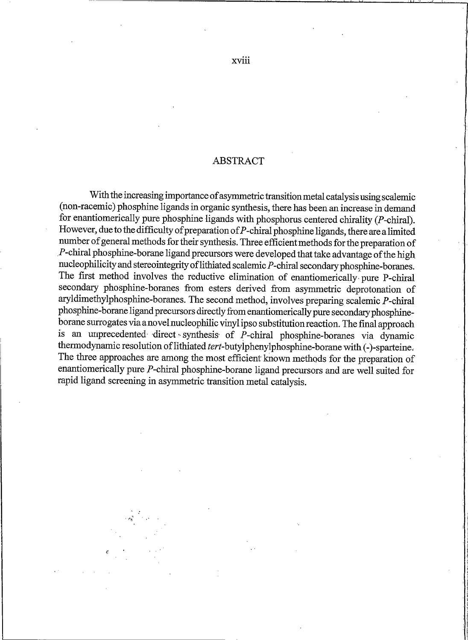#### **ABSTRACT**

With the increasing importance of asymmetric transition metal catalysis using scalemic (non-racemic) phosphine ligands in organic synthesis, there has been an increase in demand for enantiomerically pure phosphine ligands with phosphorus centered chirality  $(P\text{-chiral})$ . However, due to the difficulty of preparation of  $P$ -chiral phosphine ligands, there are a limited number of general methods for their synthesis. Three efficient methods for the preparation of P-chiral phosphine-borane ligand precursors were developed that take advantage of the high nucleophilicity and stereointegrity of lithiated scalemic P-chiral secondary phosphine-boranes. The first method involves the reductive elimination of enantiomerically pure P-chiral secondary phosphine-boranes from esters derived from asymmetric deprotonation of aryldimethylphosphine-boranes. The second method, involves preparing scalemic P-chiral phosphine-borane ligand precursors directly from enantiomerically pure secondary phosphineborane surrogates via a novel nucleophilic vinyl ipso substitution reaction. The final approach is an unprecedented direct synthesis of P-chiral phosphine-boranes via dynamic thermodynamic resolution of lithiated tert-butylphenylphosphine-borane with (-)-sparteine. The three approaches are among the most efficient known methods for the preparation of enantiomerically pure P-chiral phosphine-borane ligand precursors and are well suited for rapid ligand screening in asymmetric transition metal catalysis.

xviii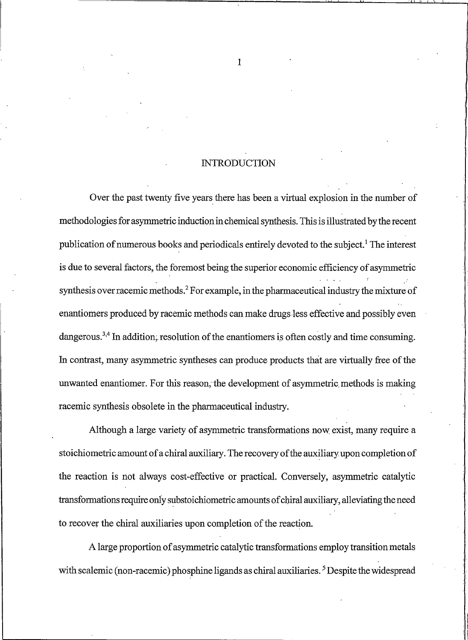#### **INTRODUCTION**

Over the past twenty five years there has been a virtual explosion in the number of methodologies for asymmetric induction in chemical synthesis. This is illustrated by the recent publication of numerous books and periodicals entirely devoted to the subject.<sup>1</sup> The interest is due to several factors, the foremost being the superior economic efficiency of asymmetric synthesis over racemic methods.<sup>2</sup> For example, in the pharmaceutical industry the mixture of enantiomers produced by racemic methods can make drugs less effective and possibly even dangerous.<sup>3,4</sup> In addition, resolution of the enantiomers is often costly and time consuming. In contrast, many asymmetric syntheses can produce products that are virtually free of the unwanted enantiomer. For this reason, the development of asymmetric methods is making racemic synthesis obsolete in the pharmaceutical industry.

Although a large variety of asymmetric transformations now exist, many require a stoichiometric amount of a chiral auxiliary. The recovery of the auxiliary upon completion of the reaction is not always cost-effective or practical. Conversely, asymmetric catalytic transformations require only substoichiometric amounts of chiral auxiliary, alleviating the need to recover the chiral auxiliaries upon completion of the reaction.

A large proportion of asymmetric catalytic transformations employ transition metals with scalemic (non-racemic) phosphine ligands as chiral auxiliaries.<sup>5</sup> Despite the widespread

 $\mathbf{1}$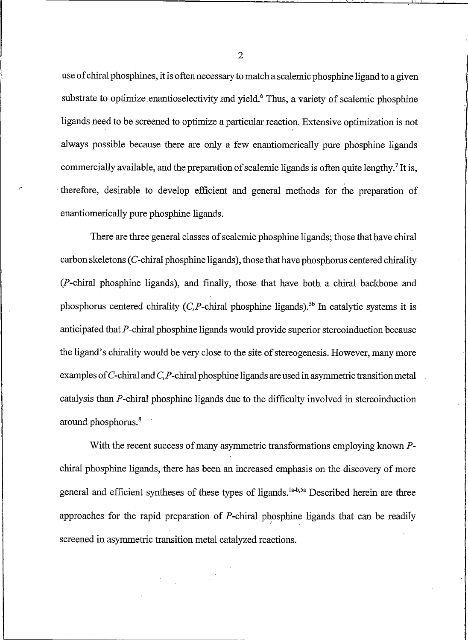use of chiral phosphines, it is often necessary to match a scalemic phosphine ligand to a given substrate to optimize enantioselectivity and yield.<sup>6</sup> Thus, a variety of scalemic phosphine ligands need to be screened to optimize a particular reaction. Extensive optimization is not always possible because there are only a few enantiomerically pure phosphine ligands commercially available, and the preparation of scalemic ligands is often quite lengthy.<sup>7</sup> It is, therefore, desirable to develop efficient and general methods for the preparation of enantiomerically pure phosphine ligands.

There are three general classes of scalemic phosphine ligands; those that have chiral carbon skeletons ( $C$ -chiral phosphine ligands), those that have phosphorus centered chirality (P-chiral phosphine ligands), and finally, those that have both a chiral backbone and phosphorus centered chirality  $(C.P$ -chiral phosphine ligands).<sup>5b</sup> In catalytic systems it is anticipated that P-chiral phosphine ligands would provide superior stereoinduction because the ligand's chirality would be very close to the site of stereogenesis. However, many more examples of  $C$ -chiral and  $C$ ,  $P$ -chiral phosphine ligands are used in asymmetric transition metal catalysis than P-chiral phosphine ligands due to the difficulty involved in stereoinduction around phosphorus.<sup>8</sup>

With the recent success of many asymmetric transformations employing known  $P$ chiral phosphine ligands, there has been an increased emphasis on the discovery of more general and efficient syntheses of these types of ligands.<sup>1a-b,5a</sup> Described herein are three approaches for the rapid preparation of P-chiral phosphine ligands that can be readily screened in asymmetric transition metal catalyzed reactions.

 $\overline{2}$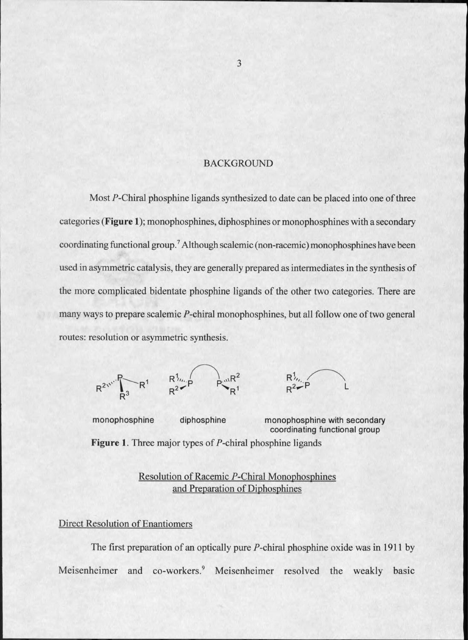#### **BACKGROUND**

Most P-Chiral phosphine ligands synthesized to date can be placed into one of three categories (**Figure 1**); monophosphines, diphosphines or monophosphines with a secondary coordinating functional group.<sup>7</sup> Although scalemic (non-racemic) monophosphines have been used in asymmetric catalysis, they are generally prepared as intermediates in the synthesis of the more complicated bidentate phosphine ligands of the other two categories. There are many ways to prepare scalemic P-chiral monophosphines, but all follow one of two general routes: resolution or asymmetric synthesis.



monophosphine diphosphine monophosphine with secondary coordinating functional group **Figure 1.** Three major types of  $P$ -chiral phosphine ligands

> Resolution of Racemic P-Chiral Monophosphines and Preparation of Diphosphines

### **Direct Resolution of Enantiomers**

The first preparation of an optically pure  $P$ -chiral phosphine oxide was in 1911 by Meisenheimer and co-workers.<sup>9</sup> Meisenheimer resolved the weakly basic

3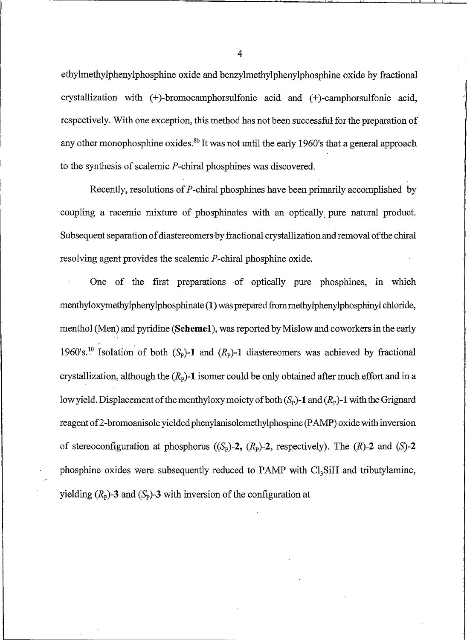ethylmethylphenylphosphine oxide and benzylmethylphenylphosphine oxide by fractional crystallization with (+)-bromocamphorsulfonic acid and (+)-camphorsulfonic acid, respectively. With one exception, this method has not been successful for the preparation of any other monophosphine oxides.<sup>8b</sup> It was not until the early 1960's that a general approach to the synthesis of scalemic  $P$ -chiral phosphines was discovered.

Recently, resolutions of P-chiral phosphines have been primarily accomplished by coupling a racemic mixture of phosphinates with an optically pure natural product. Subsequent separation of diastereomers by fractional crystallization and removal of the chiral resolving agent provides the scalemic P-chiral phosphine oxide.

One of the first preparations of optically pure phosphines, in which menthyloxymethylphenylphosphinate (1) was prepared from methylphenylphosphinyl chloride, menthol (Men) and pyridine (Scheme1), was reported by Mislow and coworkers in the early 1960's.<sup>10</sup> Isolation of both  $(S_p)$ -1 and  $(R_p)$ -1 diastereomers was achieved by fractional crystallization, although the  $(R_p)$ -1 isomer could be only obtained after much effort and in a low yield. Displacement of the menthyloxy moiety of both  $(S_p)$ -1 and  $(R_p)$ -1 with the Grignard reagent of 2-bromoanisole yielded phenylanisolemethylphospine (PAMP) oxide with inversion of stereoconfiguration at phosphorus ( $(S_p)$ -2,  $(R_p)$ -2, respectively). The  $(R)$ -2 and  $(S)$ -2 phosphine oxides were subsequently reduced to PAMP with Cl<sub>3</sub>SiH and tributylamine, yielding  $(R_p)$ -3 and  $(S_p)$ -3 with inversion of the configuration at

 $\overline{4}$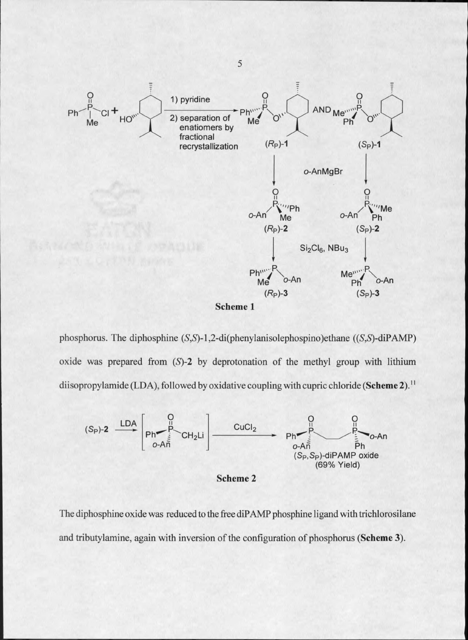

phosphorus. The diphosphine  $(S, S)$ -1,2-di(phenylanisolephospino)ethane  $((S, S)$ -diPAMP) oxide was prepared from  $(S)-2$  by deprotonation of the methyl group with lithium diisopropylamide (LDA), followed by oxidative coupling with cupric chloride (Scheme 2).<sup>11</sup>





The diphosphine oxide was reduced to the free diPAMP phosphine ligand with trichlorosilane and tributylamine, again with inversion of the configuration of phosphorus (Scheme 3).

5